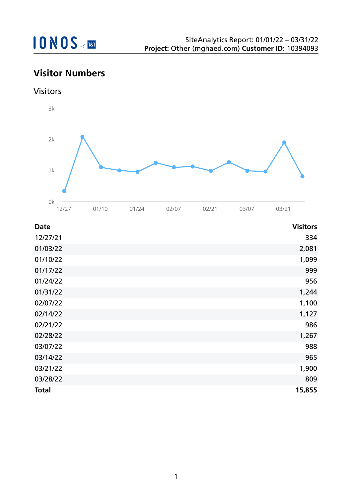### **Visitor Numbers**

Visitors



| <b>Date</b>  | <b>Visitors</b> |
|--------------|-----------------|
| 12/27/21     | 334             |
| 01/03/22     | 2,081           |
| 01/10/22     | 1,099           |
| 01/17/22     | 999             |
| 01/24/22     | 956             |
| 01/31/22     | 1,244           |
| 02/07/22     | 1,100           |
| 02/14/22     | 1,127           |
| 02/21/22     | 986             |
| 02/28/22     | 1,267           |
| 03/07/22     | 988             |
| 03/14/22     | 965             |
| 03/21/22     | 1,900           |
| 03/28/22     | 809             |
| <b>Total</b> | 15,855          |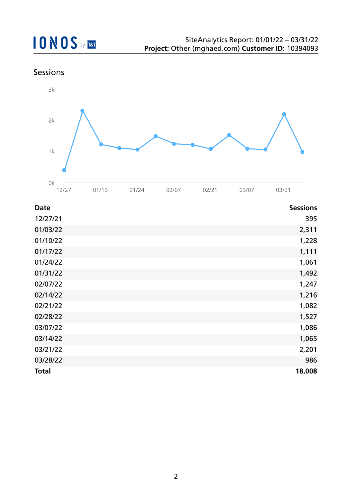### Sessions



| <b>Date</b>  | <b>Sessions</b> |
|--------------|-----------------|
| 12/27/21     | 395             |
| 01/03/22     | 2,311           |
| 01/10/22     | 1,228           |
| 01/17/22     | 1,111           |
| 01/24/22     | 1,061           |
| 01/31/22     | 1,492           |
| 02/07/22     | 1,247           |
| 02/14/22     | 1,216           |
| 02/21/22     | 1,082           |
| 02/28/22     | 1,527           |
| 03/07/22     | 1,086           |
| 03/14/22     | 1,065           |
| 03/21/22     | 2,201           |
| 03/28/22     | 986             |
| <b>Total</b> | 18,008          |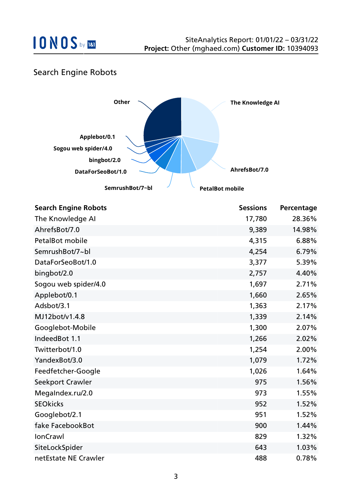

### Search Engine Robots



| <b>Search Engine Robots</b> | <b>Sessions</b> | Percentage |
|-----------------------------|-----------------|------------|
| The Knowledge AI            | 17,780          | 28.36%     |
| AhrefsBot/7.0               | 9,389           | 14.98%     |
| PetalBot mobile             | 4,315           | 6.88%      |
| SemrushBot/7~bl             | 4,254           | 6.79%      |
| DataForSeoBot/1.0           | 3,377           | 5.39%      |
| bingbot/2.0                 | 2,757           | 4.40%      |
| Sogou web spider/4.0        | 1,697           | 2.71%      |
| Applebot/0.1                | 1,660           | 2.65%      |
| Adsbot/3.1                  | 1,363           | 2.17%      |
| MJ12bot/v1.4.8              | 1,339           | 2.14%      |
| Googlebot-Mobile            | 1,300           | 2.07%      |
| IndeedBot 1.1               | 1,266           | 2.02%      |
| Twitterbot/1.0              | 1,254           | 2.00%      |
| YandexBot/3.0               | 1,079           | 1.72%      |
| Feedfetcher-Google          | 1,026           | 1.64%      |
| Seekport Crawler            | 975             | 1.56%      |
| MegaIndex.ru/2.0            | 973             | 1.55%      |
| <b>SEOkicks</b>             | 952             | 1.52%      |
| Googlebot/2.1               | 951             | 1.52%      |
| fake FacebookBot            | 900             | 1.44%      |
| <b>IonCrawl</b>             | 829             | 1.32%      |
| SiteLockSpider              | 643             | 1.03%      |
| netEstate NE Crawler        | 488             | 0.78%      |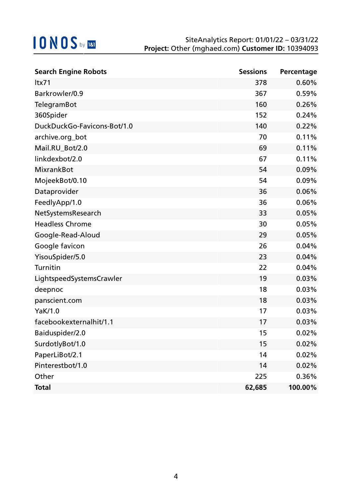| <b>Search Engine Robots</b> | <b>Sessions</b> | Percentage |
|-----------------------------|-----------------|------------|
| ltx71                       | 378             | 0.60%      |
| Barkrowler/0.9              | 367             | 0.59%      |
| TelegramBot                 | 160             | 0.26%      |
| 360Spider                   | 152             | 0.24%      |
| DuckDuckGo-Favicons-Bot/1.0 | 140             | 0.22%      |
| archive.org_bot             | 70              | 0.11%      |
| Mail.RU_Bot/2.0             | 69              | 0.11%      |
| linkdexbot/2.0              | 67              | 0.11%      |
| <b>MixrankBot</b>           | 54              | 0.09%      |
| MojeekBot/0.10              | 54              | 0.09%      |
| Dataprovider                | 36              | 0.06%      |
| FeedlyApp/1.0               | 36              | 0.06%      |
| NetSystemsResearch          | 33              | 0.05%      |
| <b>Headless Chrome</b>      | 30              | 0.05%      |
| Google-Read-Aloud           | 29              | 0.05%      |
| Google favicon              | 26              | 0.04%      |
| YisouSpider/5.0             | 23              | 0.04%      |
| Turnitin                    | 22              | 0.04%      |
| LightspeedSystemsCrawler    | 19              | 0.03%      |
| deepnoc                     | 18              | 0.03%      |
| panscient.com               | 18              | 0.03%      |
| YaK/1.0                     | 17              | 0.03%      |
| facebookexternalhit/1.1     | 17              | 0.03%      |
| Baiduspider/2.0             | 15              | 0.02%      |
| SurdotlyBot/1.0             | 15              | 0.02%      |
| PaperLiBot/2.1              | 14              | 0.02%      |
| Pinterestbot/1.0            | 14              | 0.02%      |
| Other                       | 225             | 0.36%      |
| <b>Total</b>                | 62,685          | 100.00%    |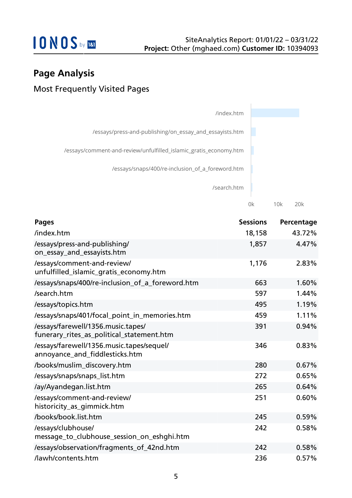

0k 10k 20k

### **Page Analysis**

### Most Frequently Visited Pages

| /index.htm                                                        |  |
|-------------------------------------------------------------------|--|
| /essays/press-and-publishing/on_essay_and_essayists.htm           |  |
| /essays/comment-and-review/unfulfilled_islamic_gratis_economy.htm |  |
| /essays/snaps/400/re-inclusion_of_a_foreword.htm                  |  |
| /search.htm                                                       |  |

| <b>Pages</b>                                                                    | <b>Sessions</b> | Percentage |
|---------------------------------------------------------------------------------|-----------------|------------|
| /index.htm                                                                      | 18,158          | 43.72%     |
| /essays/press-and-publishing/<br>on_essay_and_essayists.htm                     | 1,857           | 4.47%      |
| /essays/comment-and-review/<br>unfulfilled_islamic_gratis_economy.htm           | 1,176           | 2.83%      |
| /essays/snaps/400/re-inclusion_of_a_foreword.htm                                | 663             | 1.60%      |
| /search.htm                                                                     | 597             | 1.44%      |
| /essays/topics.htm                                                              | 495             | 1.19%      |
| /essays/snaps/401/focal_point_in_memories.htm                                   | 459             | 1.11%      |
| /essays/farewell/1356.music.tapes/<br>funerary_rites_as_political_statement.htm | 391             | 0.94%      |
| /essays/farewell/1356.music.tapes/sequel/<br>annoyance_and_fiddlesticks.htm     | 346             | 0.83%      |
| /books/muslim_discovery.htm                                                     | 280             | 0.67%      |
| /essays/snaps/snaps_list.htm                                                    | 272             | 0.65%      |
| /ay/Ayandegan.list.htm                                                          | 265             | 0.64%      |
| /essays/comment-and-review/<br>historicity_as_gimmick.htm                       | 251             | 0.60%      |
| /books/book.list.htm                                                            | 245             | 0.59%      |
| /essays/clubhouse/<br>message_to_clubhouse_session_on_eshghi.htm                | 242             | 0.58%      |
| /essays/observation/fragments_of_42nd.htm                                       | 242             | 0.58%      |
| /lawh/contents.htm                                                              | 236             | 0.57%      |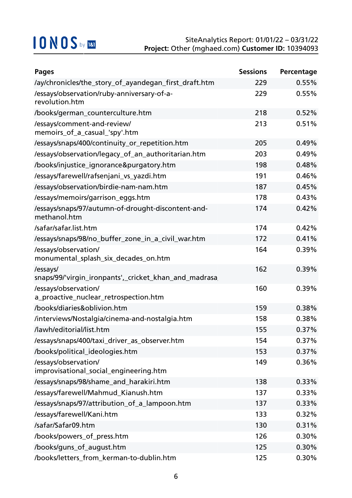| <b>Pages</b>                                                       | <b>Sessions</b> | Percentage |
|--------------------------------------------------------------------|-----------------|------------|
| /ay/chronicles/the_story_of_ayandegan_first_draft.htm              | 229             | 0.55%      |
| /essays/observation/ruby-anniversary-of-a-<br>revolution.htm       | 229             | 0.55%      |
| /books/german_counterculture.htm                                   | 218             | 0.52%      |
| /essays/comment-and-review/<br>memoirs_of_a_casual_'spy'.htm       | 213             | 0.51%      |
| /essays/snaps/400/continuity_or_repetition.htm                     | 205             | 0.49%      |
| /essays/observation/legacy_of_an_authoritarian.htm                 | 203             | 0.49%      |
| /books/injustice_ignorance&purgatory.htm                           | 198             | 0.48%      |
| /essays/farewell/rafsenjani_vs_yazdi.htm                           | 191             | 0.46%      |
| /essays/observation/birdie-nam-nam.htm                             | 187             | 0.45%      |
| /essays/memoirs/garrison_eggs.htm                                  | 178             | 0.43%      |
| /essays/snaps/97/autumn-of-drought-discontent-and-<br>methanol.htm | 174             | 0.42%      |
| /safar/safar.list.htm                                              | 174             | 0.42%      |
| /essays/snaps/98/no_buffer_zone_in_a_civil_war.htm                 | 172             | 0.41%      |
| /essays/observation/<br>monumental_splash_six_decades_on.htm       | 164             | 0.39%      |
| /essays/<br>snaps/99/'virgin_ironpants',_cricket_khan_and_madrasa  | 162             | 0.39%      |
| /essays/observation/<br>a_proactive_nuclear_retrospection.htm      | 160             | 0.39%      |
| /books/diaries&oblivion.htm                                        | 159             | 0.38%      |
| /interviews/Nostalgia/cinema-and-nostalgia.htm                     | 158             | 0.38%      |
| /lawh/editorial/list.htm                                           | 155             | 0.37%      |
| /essays/snaps/400/taxi_driver_as_observer.htm                      | 154             | 0.37%      |
| /books/political_ideologies.htm                                    | 153             | 0.37%      |
| /essays/observation/<br>improvisational_social_engineering.htm     | 149             | 0.36%      |
| /essays/snaps/98/shame_and_harakiri.htm                            | 138             | 0.33%      |
| /essays/farewell/Mahmud_Kianush.htm                                | 137             | 0.33%      |
| /essays/snaps/97/attribution_of_a_lampoon.htm                      | 137             | 0.33%      |
| /essays/farewell/Kani.htm                                          | 133             | 0.32%      |
| /safar/Safar09.htm                                                 | 130             | 0.31%      |
| /books/powers_of_press.htm                                         | 126             | 0.30%      |
| /books/guns_of_august.htm                                          | 125             | 0.30%      |
| /books/letters_from_kerman-to-dublin.htm                           | 125             | 0.30%      |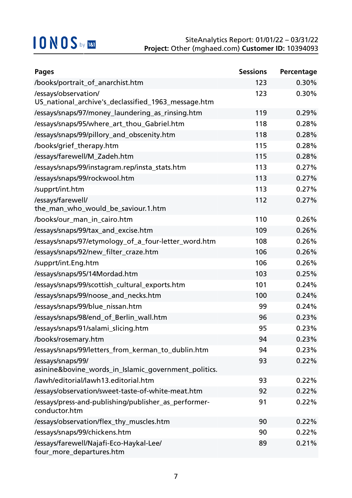| <b>Pages</b>                                                                | <b>Sessions</b> | Percentage |
|-----------------------------------------------------------------------------|-----------------|------------|
| /books/portrait_of_anarchist.htm                                            | 123             | 0.30%      |
| /essays/observation/<br>US_national_archive's_declassified_1963_message.htm | 123             | 0.30%      |
| /essays/snaps/97/money_laundering_as_rinsing.htm                            | 119             | 0.29%      |
| /essays/snaps/95/where_art_thou_Gabriel.htm                                 | 118             | 0.28%      |
| /essays/snaps/99/pillory_and_obscenity.htm                                  | 118             | 0.28%      |
| /books/grief_therapy.htm                                                    | 115             | 0.28%      |
| /essays/farewell/M_Zadeh.htm                                                | 115             | 0.28%      |
| /essays/snaps/99/instagram.rep/insta_stats.htm                              | 113             | 0.27%      |
| /essays/snaps/99/rockwool.htm                                               | 113             | 0.27%      |
| /supprt/int.htm                                                             | 113             | 0.27%      |
| /essays/farewell/<br>the_man_who_would_be_saviour.1.htm                     | 112             | 0.27%      |
| /books/our_man_in_cairo.htm                                                 | 110             | 0.26%      |
| /essays/snaps/99/tax_and_excise.htm                                         | 109             | 0.26%      |
| /essays/snaps/97/etymology_of_a_four-letter_word.htm                        | 108             | 0.26%      |
| /essays/snaps/92/new_filter_craze.htm                                       | 106             | 0.26%      |
| /supprt/int.Eng.htm                                                         | 106             | 0.26%      |
| /essays/snaps/95/14Mordad.htm                                               | 103             | 0.25%      |
| /essays/snaps/99/scottish_cultural_exports.htm                              | 101             | 0.24%      |
| /essays/snaps/99/noose_and_necks.htm                                        | 100             | 0.24%      |
| /essays/snaps/99/blue_nissan.htm                                            | 99              | 0.24%      |
| /essays/snaps/98/end_of_Berlin_wall.htm                                     | 96              | 0.23%      |
| /essays/snaps/91/salami_slicing.htm                                         | 95              | 0.23%      |
| /books/rosemary.htm                                                         | 94              | 0.23%      |
| /essays/snaps/99/letters_from_kerman_to_dublin.htm                          | 94              | 0.23%      |
| /essays/snaps/99/<br>asinine&bovine_words_in_Islamic_government_politics.   | 93              | 0.22%      |
| /lawh/editorial/lawh13.editorial.htm                                        | 93              | 0.22%      |
| /essays/observation/sweet-taste-of-white-meat.htm                           | 92              | 0.22%      |
| /essays/press-and-publishing/publisher_as_performer-<br>conductor.htm       | 91              | 0.22%      |
| /essays/observation/flex_thy_muscles.htm                                    | 90              | 0.22%      |
| /essays/snaps/99/chickens.htm                                               | 90              | 0.22%      |
| /essays/farewell/Najafi-Eco-Haykal-Lee/<br>four_more_departures.htm         | 89              | 0.21%      |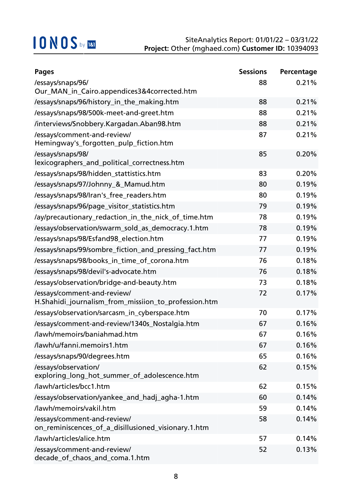| <b>Pages</b>                                                                        | <b>Sessions</b> | Percentage |
|-------------------------------------------------------------------------------------|-----------------|------------|
| /essays/snaps/96/                                                                   | 88              | 0.21%      |
| Our_MAN_in_Cairo.appendices3&4corrected.htm                                         |                 |            |
| /essays/snaps/96/history_in_the_making.htm                                          | 88              | 0.21%      |
| /essays/snaps/98/500k-meet-and-greet.htm                                            | 88              | 0.21%      |
| /interviews/Snobbery.Kargadan.Aban98.htm                                            | 88              | 0.21%      |
| /essays/comment-and-review/<br>Hemingway's_forgotten_pulp_fiction.htm               | 87              | 0.21%      |
| /essays/snaps/98/<br>lexicographers_and_political_correctness.htm                   | 85              | 0.20%      |
| /essays/snaps/98/hidden_stattistics.htm                                             | 83              | 0.20%      |
| /essays/snaps/97/Johnny_&_Mamud.htm                                                 | 80              | 0.19%      |
| /essays/snaps/98/Iran's_free_readers.htm                                            | 80              | 0.19%      |
| /essays/snaps/96/page_visitor_statistics.htm                                        | 79              | 0.19%      |
| /ay/precautionary_redaction_in_the_nick_of_time.htm                                 | 78              | 0.19%      |
| /essays/observation/swarm_sold_as_democracy.1.htm                                   | 78              | 0.19%      |
| /essays/snaps/98/Esfand98_election.htm                                              | 77              | 0.19%      |
| /essays/snaps/99/sombre_fiction_and_pressing_fact.htm                               | 77              | 0.19%      |
| /essays/snaps/98/books_in_time_of_corona.htm                                        | 76              | 0.18%      |
| /essays/snaps/98/devil's-advocate.htm                                               | 76              | 0.18%      |
| /essays/observation/bridge-and-beauty.htm                                           | 73              | 0.18%      |
| /essays/comment-and-review/<br>H.Shahidi_journalism_from_missiion_to_profession.htm | 72              | 0.17%      |
| /essays/observation/sarcasm_in_cyberspace.htm                                       | 70              | 0.17%      |
| /essays/comment-and-review/1340s_Nostalgia.htm                                      | 67              | 0.16%      |
| /lawh/memoirs/baniahmad.htm                                                         | 67              | 0.16%      |
| /lawh/u/fanni.memoirs1.htm                                                          | 67              | 0.16%      |
| /essays/snaps/90/degrees.htm                                                        | 65              | 0.16%      |
| /essays/observation/<br>exploring_long_hot_summer_of_adolescence.htm                | 62              | 0.15%      |
| /lawh/articles/bcc1.htm                                                             | 62              | 0.15%      |
| /essays/observation/yankee_and_hadj_agha-1.htm                                      | 60              | 0.14%      |
| /lawh/memoirs/vakil.htm                                                             | 59              | 0.14%      |
| /essays/comment-and-review/<br>on_reminiscences_of_a_disillusioned_visionary.1.htm  | 58              | 0.14%      |
| /lawh/articles/alice.htm                                                            | 57              | 0.14%      |
| /essays/comment-and-review/<br>decade_of_chaos_and_coma.1.htm                       | 52              | 0.13%      |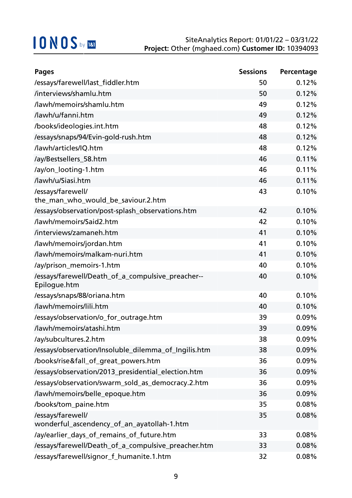| <b>Pages</b>                                                      | <b>Sessions</b> | Percentage |
|-------------------------------------------------------------------|-----------------|------------|
| /essays/farewell/last_fiddler.htm                                 | 50              | 0.12%      |
| /interviews/shamlu.htm                                            | 50              | 0.12%      |
| /lawh/memoirs/shamlu.htm                                          | 49              | 0.12%      |
| /lawh/u/fanni.htm                                                 | 49              | 0.12%      |
| /books/ideologies.int.htm                                         | 48              | 0.12%      |
| /essays/snaps/94/Evin-gold-rush.htm                               | 48              | 0.12%      |
| /lawh/articles/IQ.htm                                             | 48              | 0.12%      |
| /ay/Bestsellers_58.htm                                            | 46              | 0.11%      |
| /ay/on_looting-1.htm                                              | 46              | 0.11%      |
| /lawh/u/Siasi.htm                                                 | 46              | 0.11%      |
| /essays/farewell/<br>the_man_who_would_be_saviour.2.htm           | 43              | 0.10%      |
| /essays/observation/post-splash_observations.htm                  | 42              | 0.10%      |
| /lawh/memoirs/Said2.htm                                           | 42              | 0.10%      |
| /interviews/zamaneh.htm                                           | 41              | 0.10%      |
| /lawh/memoirs/jordan.htm                                          | 41              | 0.10%      |
| /lawh/memoirs/malkam-nuri.htm                                     | 41              | 0.10%      |
| /ay/prison_memoirs-1.htm                                          | 40              | 0.10%      |
| /essays/farewell/Death_of_a_compulsive_preacher--<br>Epilogue.htm | 40              | 0.10%      |
| /essays/snaps/88/oriana.htm                                       | 40              | 0.10%      |
| /lawh/memoirs/lili.htm                                            | 40              | 0.10%      |
| /essays/observation/o_for_outrage.htm                             | 39              | 0.09%      |
| /lawh/memoirs/atashi.htm                                          | 39              | 0.09%      |
| /ay/subcultures.2.htm                                             | 38              | 0.09%      |
| /essays/observation/Insoluble_dilemma_of_Ingilis.htm              | 38              | 0.09%      |
| /books/rise&fall_of_great_powers.htm                              | 36              | 0.09%      |
| /essays/observation/2013_presidential_election.htm                | 36              | 0.09%      |
| /essays/observation/swarm_sold_as_democracy.2.htm                 | 36              | 0.09%      |
| /lawh/memoirs/belle_epoque.htm                                    | 36              | 0.09%      |
| /books/tom_paine.htm                                              | 35              | 0.08%      |
| /essays/farewell/<br>wonderful_ascendency_of_an_ayatollah-1.htm   | 35              | 0.08%      |
| /ay/earlier_days_of_remains_of_future.htm                         | 33              | 0.08%      |
| /essays/farewell/Death_of_a_compulsive_preacher.htm               | 33              | 0.08%      |
| /essays/farewell/signor_f_humanite.1.htm                          | 32              | 0.08%      |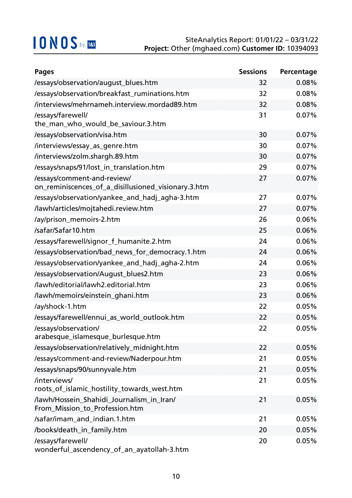| <b>Pages</b>                                                                       | <b>Sessions</b> | Percentage |
|------------------------------------------------------------------------------------|-----------------|------------|
| /essays/observation/august_blues.htm                                               | 32              | 0.08%      |
| /essays/observation/breakfast_ruminations.htm                                      | 32              | 0.08%      |
| /interviews/mehrnameh.interview.mordad89.htm                                       | 32              | 0.08%      |
| /essays/farewell/<br>the_man_who_would_be_saviour.3.htm                            | 31              | 0.07%      |
| /essays/observation/visa.htm                                                       | 30              | 0.07%      |
| /interviews/essay_as_genre.htm                                                     | 30              | 0.07%      |
| /interviews/zolm.shargh.89.htm                                                     | 30              | 0.07%      |
| /essays/snaps/91/lost_in_translation.htm                                           | 29              | 0.07%      |
| /essays/comment-and-review/<br>on_reminiscences_of_a_disillusioned_visionary.3.htm | 27              | 0.07%      |
| /essays/observation/yankee_and_hadj_agha-3.htm                                     | 27              | 0.07%      |
| /lawh/articles/mojtahedi.review.htm                                                | 27              | 0.07%      |
| /ay/prison_memoirs-2.htm                                                           | 26              | 0.06%      |
| /safar/Safar10.htm                                                                 | 25              | 0.06%      |
| /essays/farewell/signor_f_humanite.2.htm                                           | 24              | 0.06%      |
| /essays/observation/bad_news_for_democracy.1.htm                                   | 24              | 0.06%      |
| /essays/observation/yankee_and_hadj_agha-2.htm                                     | 24              | 0.06%      |
| /essays/observation/August_blues2.htm                                              | 23              | 0.06%      |
| /lawh/editorial/lawh2.editorial.htm                                                | 23              | 0.06%      |
| /lawh/memoirs/einstein_ghani.htm                                                   | 23              | 0.06%      |
| /ay/shock-1.htm                                                                    | 22              | 0.05%      |
| /essays/farewell/ennui_as_world_outlook.htm                                        | 22              | 0.05%      |
| /essays/observation/<br>arabesque_islamesque_burlesque.htm                         | 22              | 0.05%      |
| /essays/observation/relatively_midnight.htm                                        | 22              | 0.05%      |
| /essays/comment-and-review/Naderpour.htm                                           | 21              | 0.05%      |
| /essays/snaps/90/sunnyvale.htm                                                     | 21              | 0.05%      |
| /interviews/<br>roots_of_islamic_hostility_towards_west.htm                        | 21              | 0.05%      |
| /lawh/Hossein Shahidi Journalism in Iran/<br>From_Mission_to_Profession.htm        | 21              | 0.05%      |
| /safar/imam_and_indian.1.htm                                                       | 21              | 0.05%      |
| /books/death_in_family.htm                                                         | 20              | 0.05%      |
| /essays/farewell/<br>wonderful_ascendency_of_an_ayatollah-3.htm                    | 20              | 0.05%      |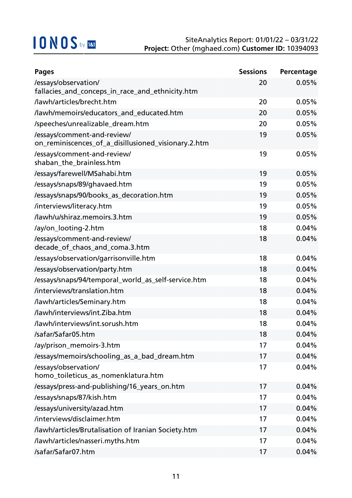| <b>Pages</b>                                                                       | <b>Sessions</b> | Percentage |
|------------------------------------------------------------------------------------|-----------------|------------|
| /essays/observation/<br>fallacies_and_conceps_in_race_and_ethnicity.htm            | 20              | 0.05%      |
| /lawh/articles/brecht.htm                                                          | 20              | 0.05%      |
| /lawh/memoirs/educators_and_educated.htm                                           | 20              | 0.05%      |
| /speeches/unrealizable_dream.htm                                                   | 20              | 0.05%      |
| /essays/comment-and-review/<br>on_reminiscences_of_a_disillusioned_visionary.2.htm | 19              | 0.05%      |
| /essays/comment-and-review/<br>shaban_the_brainless.htm                            | 19              | 0.05%      |
| /essays/farewell/MSahabi.htm                                                       | 19              | 0.05%      |
| /essays/snaps/89/ghavaed.htm                                                       | 19              | 0.05%      |
| /essays/snaps/90/books_as_decoration.htm                                           | 19              | 0.05%      |
| /interviews/literacy.htm                                                           | 19              | 0.05%      |
| /lawh/u/shiraz.memoirs.3.htm                                                       | 19              | 0.05%      |
| /ay/on_looting-2.htm                                                               | 18              | 0.04%      |
| /essays/comment-and-review/<br>decade_of_chaos_and_coma.3.htm                      | 18              | 0.04%      |
| /essays/observation/garrisonville.htm                                              | 18              | 0.04%      |
| /essays/observation/party.htm                                                      | 18              | 0.04%      |
| /essays/snaps/94/temporal_world_as_self-service.htm                                | 18              | 0.04%      |
| /interviews/translation.htm                                                        | 18              | 0.04%      |
| /lawh/articles/Seminary.htm                                                        | 18              | 0.04%      |
| /lawh/interviews/int.Ziba.htm                                                      | 18              | 0.04%      |
| /lawh/interviews/int.sorush.htm                                                    | 18              | 0.04%      |
| /safar/Safar05.htm                                                                 | 18              | 0.04%      |
| /ay/prison_memoirs-3.htm                                                           | 17              | 0.04%      |
| /essays/memoirs/schooling_as_a_bad_dream.htm                                       | 17              | 0.04%      |
| /essays/observation/<br>homo_toileticus_as_nomenklatura.htm                        | 17              | 0.04%      |
| /essays/press-and-publishing/16_years_on.htm                                       | 17              | 0.04%      |
| /essays/snaps/87/kish.htm                                                          | 17              | 0.04%      |
| /essays/university/azad.htm                                                        | 17              | 0.04%      |
| /interviews/disclaimer.htm                                                         | 17              | 0.04%      |
| /lawh/articles/Brutalisation of Iranian Society.htm                                | 17              | 0.04%      |
| /lawh/articles/nasseri.myths.htm                                                   | 17              | 0.04%      |
| /safar/Safar07.htm                                                                 | 17              | 0.04%      |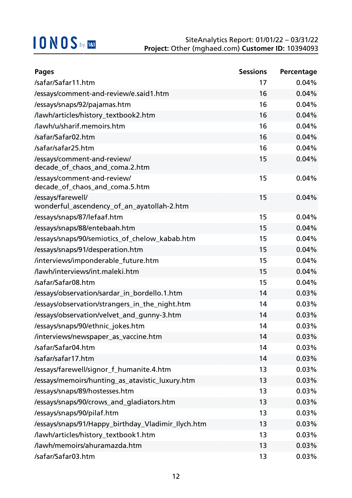| <b>Pages</b>                                                    | <b>Sessions</b> | Percentage |
|-----------------------------------------------------------------|-----------------|------------|
| /safar/Safar11.htm                                              | 17              | 0.04%      |
| /essays/comment-and-review/e.said1.htm                          | 16              | 0.04%      |
| /essays/snaps/92/pajamas.htm                                    | 16              | 0.04%      |
| /lawh/articles/history_textbook2.htm                            | 16              | 0.04%      |
| /lawh/u/sharif.memoirs.htm                                      | 16              | 0.04%      |
| /safar/Safar02.htm                                              | 16              | 0.04%      |
| /safar/safar25.htm                                              | 16              | 0.04%      |
| /essays/comment-and-review/<br>decade_of_chaos_and_coma.2.htm   | 15              | 0.04%      |
| /essays/comment-and-review/<br>decade_of_chaos_and_coma.5.htm   | 15              | 0.04%      |
| /essays/farewell/<br>wonderful_ascendency_of_an_ayatollah-2.htm | 15              | 0.04%      |
| /essays/snaps/87/lefaaf.htm                                     | 15              | 0.04%      |
| /essays/snaps/88/entebaah.htm                                   | 15              | 0.04%      |
| /essays/snaps/90/semiotics_of_chelow_kabab.htm                  | 15              | 0.04%      |
| /essays/snaps/91/desperation.htm                                | 15              | 0.04%      |
| /interviews/imponderable_future.htm                             | 15              | 0.04%      |
| /lawh/interviews/int.maleki.htm                                 | 15              | 0.04%      |
| /safar/Safar08.htm                                              | 15              | 0.04%      |
| /essays/observation/sardar_in_bordello.1.htm                    | 14              | 0.03%      |
| /essays/observation/strangers_in_the_night.htm                  | 14              | 0.03%      |
| /essays/observation/velvet_and_gunny-3.htm                      | 14              | 0.03%      |
| /essays/snaps/90/ethnic_jokes.htm                               | 14              | 0.03%      |
| /interviews/newspaper_as_vaccine.htm                            | 14              | 0.03%      |
| /safar/Safar04.htm                                              | 14              | 0.03%      |
| /safar/safar17.htm                                              | 14              | 0.03%      |
| /essays/farewell/signor_f_humanite.4.htm                        | 13              | 0.03%      |
| /essays/memoirs/hunting_as_atavistic_luxury.htm                 | 13              | 0.03%      |
| /essays/snaps/89/hostesses.htm                                  | 13              | 0.03%      |
| /essays/snaps/90/crows_and_gladiators.htm                       | 13              | 0.03%      |
| /essays/snaps/90/pilaf.htm                                      | 13              | 0.03%      |
| /essays/snaps/91/Happy_birthday_Vladimir_Ilych.htm              | 13              | 0.03%      |
| /lawh/articles/history_textbook1.htm                            | 13              | 0.03%      |
| /lawh/memoirs/ahuramazda.htm                                    | 13              | 0.03%      |
| /safar/Safar03.htm                                              | 13              | 0.03%      |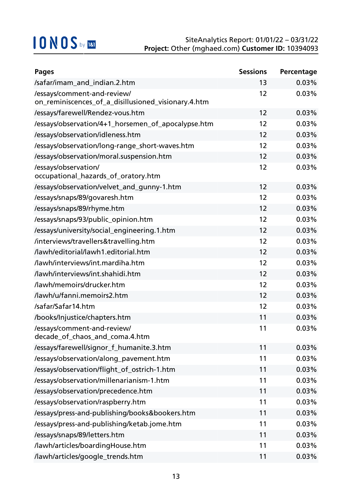| <b>Pages</b>                                                                       | <b>Sessions</b> | Percentage |
|------------------------------------------------------------------------------------|-----------------|------------|
| /safar/imam_and_indian.2.htm                                                       | 13              | 0.03%      |
| /essays/comment-and-review/<br>on_reminiscences_of_a_disillusioned_visionary.4.htm | 12              | 0.03%      |
| /essays/farewell/Rendez-vous.htm                                                   | 12              | 0.03%      |
| /essays/observation/4+1_horsemen_of_apocalypse.htm                                 | 12              | 0.03%      |
| /essays/observation/idleness.htm                                                   | 12              | 0.03%      |
| /essays/observation/long-range_short-waves.htm                                     | 12              | 0.03%      |
| /essays/observation/moral.suspension.htm                                           | 12              | 0.03%      |
| /essays/observation/<br>occupational_hazards_of_oratory.htm                        | 12              | 0.03%      |
| /essays/observation/velvet_and_gunny-1.htm                                         | 12              | 0.03%      |
| /essays/snaps/89/govaresh.htm                                                      | 12              | 0.03%      |
| /essays/snaps/89/rhyme.htm                                                         | 12              | 0.03%      |
| /essays/snaps/93/public_opinion.htm                                                | 12              | 0.03%      |
| /essays/university/social_engineering.1.htm                                        | 12              | 0.03%      |
| /interviews/travellers&travelling.htm                                              | 12              | 0.03%      |
| /lawh/editorial/lawh1.editorial.htm                                                | 12              | 0.03%      |
| /lawh/interviews/int.mardiha.htm                                                   | 12              | 0.03%      |
| /lawh/interviews/int.shahidi.htm                                                   | 12              | 0.03%      |
| /lawh/memoirs/drucker.htm                                                          | 12              | 0.03%      |
| /lawh/u/fanni.memoirs2.htm                                                         | 12              | 0.03%      |
| /safar/Safar14.htm                                                                 | 12              | 0.03%      |
| /books/Injustice/chapters.htm                                                      | 11              | 0.03%      |
| /essays/comment-and-review/<br>decade_of_chaos_and_coma.4.htm                      | 11              | 0.03%      |
| /essays/farewell/signor_f_humanite.3.htm                                           | 11              | 0.03%      |
| /essays/observation/along_pavement.htm                                             | 11              | 0.03%      |
| /essays/observation/flight_of_ostrich-1.htm                                        | 11              | 0.03%      |
| /essays/observation/millenarianism-1.htm                                           | 11              | 0.03%      |
| /essays/observation/precedence.htm                                                 | 11              | 0.03%      |
| /essays/observation/raspberry.htm                                                  | 11              | 0.03%      |
| /essays/press-and-publishing/books&bookers.htm                                     | 11              | 0.03%      |
| /essays/press-and-publishing/ketab.jome.htm                                        | 11              | 0.03%      |
| /essays/snaps/89/letters.htm                                                       | 11              | 0.03%      |
| /lawh/articles/boardingHouse.htm                                                   | 11              | 0.03%      |
| /lawh/articles/google_trends.htm                                                   | 11              | 0.03%      |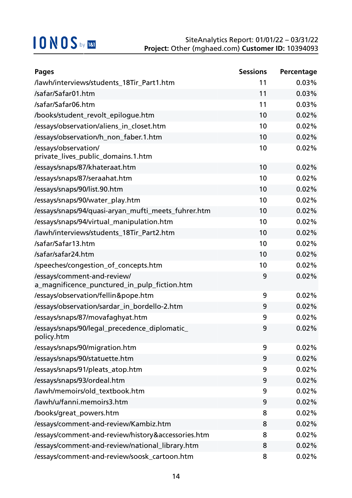| <b>Pages</b>                                                                | <b>Sessions</b> | Percentage |
|-----------------------------------------------------------------------------|-----------------|------------|
| /lawh/interviews/students_18Tir_Part1.htm                                   | 11              | 0.03%      |
| /safar/Safar01.htm                                                          | 11              | 0.03%      |
| /safar/Safar06.htm                                                          | 11              | 0.03%      |
| /books/student_revolt_epilogue.htm                                          | 10              | 0.02%      |
| /essays/observation/aliens_in_closet.htm                                    | 10              | 0.02%      |
| /essays/observation/h_non_faber.1.htm                                       | 10              | 0.02%      |
| /essays/observation/<br>private_lives_public_domains.1.htm                  | 10              | 0.02%      |
| /essays/snaps/87/khateraat.htm                                              | 10              | 0.02%      |
| /essays/snaps/87/seraahat.htm                                               | 10              | 0.02%      |
| /essays/snaps/90/list.90.htm                                                | 10              | 0.02%      |
| /essays/snaps/90/water_play.htm                                             | 10              | 0.02%      |
| /essays/snaps/94/quasi-aryan_mufti_meets_fuhrer.htm                         | 10              | 0.02%      |
| /essays/snaps/94/virtual_manipulation.htm                                   | 10              | 0.02%      |
| /lawh/interviews/students_18Tir_Part2.htm                                   | 10              | 0.02%      |
| /safar/Safar13.htm                                                          | 10              | 0.02%      |
| /safar/safar24.htm                                                          | 10              | 0.02%      |
| /speeches/congestion_of_concepts.htm                                        | 10              | 0.02%      |
| /essays/comment-and-review/<br>a_magnificence_punctured_in_pulp_fiction.htm | 9               | 0.02%      |
| /essays/observation/fellin&pope.htm                                         | 9               | 0.02%      |
| /essays/observation/sardar_in_bordello-2.htm                                | 9               | 0.02%      |
| /essays/snaps/87/movafaghyat.htm                                            | 9               | 0.02%      |
| /essays/snaps/90/legal_precedence_diplomatic_<br>policy.htm                 | 9               | 0.02%      |
| /essays/snaps/90/migration.htm                                              | 9               | 0.02%      |
| /essays/snaps/90/statuette.htm                                              | 9               | 0.02%      |
| /essays/snaps/91/pleats_atop.htm                                            | 9               | 0.02%      |
| /essays/snaps/93/ordeal.htm                                                 | 9               | 0.02%      |
| /lawh/memoirs/old_textbook.htm                                              | 9               | 0.02%      |
| /lawh/u/fanni.memoirs3.htm                                                  | 9               | 0.02%      |
| /books/great_powers.htm                                                     | 8               | 0.02%      |
| /essays/comment-and-review/Kambiz.htm                                       | 8               | 0.02%      |
| /essays/comment-and-review/history&accessories.htm                          | 8               | 0.02%      |
| /essays/comment-and-review/national_library.htm                             | 8               | 0.02%      |
| /essays/comment-and-review/soosk_cartoon.htm                                | 8               | 0.02%      |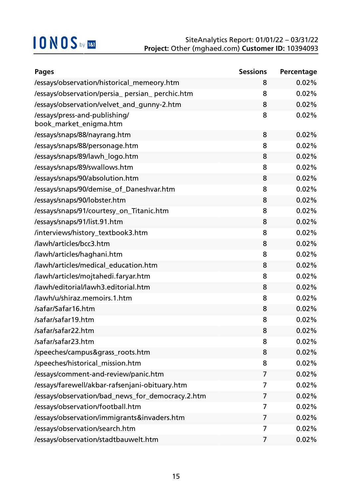| <b>Pages</b>                                            | <b>Sessions</b> | Percentage |
|---------------------------------------------------------|-----------------|------------|
| /essays/observation/historical_memeory.htm              | 8               | 0.02%      |
| /essays/observation/persia_persian_perchic.htm          | 8               | 0.02%      |
| /essays/observation/velvet_and_gunny-2.htm              | 8               | 0.02%      |
| /essays/press-and-publishing/<br>book_market_enigma.htm | 8               | 0.02%      |
| /essays/snaps/88/nayrang.htm                            | 8               | 0.02%      |
| /essays/snaps/88/personage.htm                          | 8               | 0.02%      |
| /essays/snaps/89/lawh_logo.htm                          | 8               | 0.02%      |
| /essays/snaps/89/swallows.htm                           | 8               | 0.02%      |
| /essays/snaps/90/absolution.htm                         | 8               | 0.02%      |
| /essays/snaps/90/demise_of_Daneshvar.htm                | 8               | 0.02%      |
| /essays/snaps/90/lobster.htm                            | 8               | 0.02%      |
| /essays/snaps/91/courtesy_on_Titanic.htm                | 8               | 0.02%      |
| /essays/snaps/91/list.91.htm                            | 8               | 0.02%      |
| /interviews/history_textbook3.htm                       | 8               | 0.02%      |
| /lawh/articles/bcc3.htm                                 | 8               | 0.02%      |
| /lawh/articles/haghani.htm                              | 8               | 0.02%      |
| /lawh/articles/medical_education.htm                    | 8               | 0.02%      |
| /lawh/articles/mojtahedi.faryar.htm                     | 8               | 0.02%      |
| /lawh/editorial/lawh3.editorial.htm                     | 8               | 0.02%      |
| /lawh/u/shiraz.memoirs.1.htm                            | 8               | 0.02%      |
| /safar/Safar16.htm                                      | 8               | 0.02%      |
| /safar/safar19.htm                                      | 8               | 0.02%      |
| /safar/safar22.htm                                      | 8               | 0.02%      |
| /safar/safar23.htm                                      | 8               | 0.02%      |
| /speeches/campus&grass_roots.htm                        | 8               | 0.02%      |
| /speeches/historical_mission.htm                        | 8               | 0.02%      |
| /essays/comment-and-review/panic.htm                    | 7               | 0.02%      |
| /essays/farewell/akbar-rafsenjani-obituary.htm          | 7               | 0.02%      |
| /essays/observation/bad_news_for_democracy.2.htm        | 7               | 0.02%      |
| /essays/observation/football.htm                        | 7               | 0.02%      |
| /essays/observation/immigrants&invaders.htm             | 7               | 0.02%      |
| /essays/observation/search.htm                          | 7               | 0.02%      |
| /essays/observation/stadtbauwelt.htm                    | 7               | 0.02%      |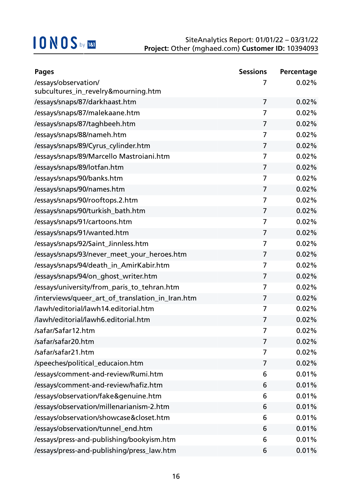| <b>Pages</b>                                     | <b>Sessions</b> | Percentage |
|--------------------------------------------------|-----------------|------------|
| /essays/observation/                             | 7               | 0.02%      |
| subcultures_in_revelry&mourning.htm              |                 |            |
| /essays/snaps/87/darkhaast.htm                   | $\overline{7}$  | 0.02%      |
| /essays/snaps/87/malekaane.htm                   | 7               | 0.02%      |
| /essays/snaps/87/taghbeeh.htm                    | $\overline{7}$  | 0.02%      |
| /essays/snaps/88/nameh.htm                       | 7               | 0.02%      |
| /essays/snaps/89/Cyrus_cylinder.htm              | 7               | 0.02%      |
| /essays/snaps/89/Marcello Mastroiani.htm         | 7               | 0.02%      |
| /essays/snaps/89/lotfan.htm                      | $\overline{7}$  | 0.02%      |
| /essays/snaps/90/banks.htm                       | 7               | 0.02%      |
| /essays/snaps/90/names.htm                       | $\overline{7}$  | 0.02%      |
| /essays/snaps/90/rooftops.2.htm                  | 7               | 0.02%      |
| /essays/snaps/90/turkish_bath.htm                | $\overline{7}$  | 0.02%      |
| /essays/snaps/91/cartoons.htm                    | 7               | 0.02%      |
| /essays/snaps/91/wanted.htm                      | 7               | 0.02%      |
| /essays/snaps/92/Saint_Jinnless.htm              | 7               | 0.02%      |
| /essays/snaps/93/never_meet_your_heroes.htm      | 7               | 0.02%      |
| /essays/snaps/94/death_in_AmirKabir.htm          | 7               | 0.02%      |
| /essays/snaps/94/on_ghost_writer.htm             | 7               | 0.02%      |
| /essays/university/from_paris_to_tehran.htm      | 7               | 0.02%      |
| /interviews/queer_art_of_translation_in_Iran.htm | $\overline{7}$  | 0.02%      |
| /lawh/editorial/lawh14.editorial.htm             | 7               | 0.02%      |
| /lawh/editorial/lawh6.editorial.htm              | 7               | 0.02%      |
| /safar/Safar12.htm                               | 7               | $0.02\%$   |
| /safar/safar20.htm                               | 7               | 0.02%      |
| /safar/safar21.htm                               | 7               | 0.02%      |
| /speeches/political_educaion.htm                 | 7               | 0.02%      |
| /essays/comment-and-review/Rumi.htm              | 6               | 0.01%      |
| /essays/comment-and-review/hafiz.htm             | 6               | 0.01%      |
| /essays/observation/fake&genuine.htm             | 6               | 0.01%      |
| /essays/observation/millenarianism-2.htm         | 6               | 0.01%      |
| /essays/observation/showcase&closet.htm          | 6               | 0.01%      |
| /essays/observation/tunnel_end.htm               | 6               | 0.01%      |
| /essays/press-and-publishing/bookyism.htm        | 6               | 0.01%      |
| /essays/press-and-publishing/press_law.htm       | 6               | 0.01%      |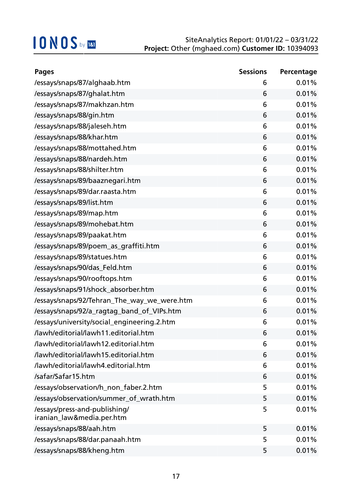| <b>Pages</b>                                               | <b>Sessions</b> | Percentage |
|------------------------------------------------------------|-----------------|------------|
| /essays/snaps/87/alghaab.htm                               | 6               | 0.01%      |
| /essays/snaps/87/ghalat.htm                                | 6               | 0.01%      |
| /essays/snaps/87/makhzan.htm                               | 6               | 0.01%      |
| /essays/snaps/88/gin.htm                                   | 6               | 0.01%      |
| /essays/snaps/88/jaleseh.htm                               | 6               | 0.01%      |
| /essays/snaps/88/khar.htm                                  | 6               | 0.01%      |
| /essays/snaps/88/mottahed.htm                              | 6               | 0.01%      |
| /essays/snaps/88/nardeh.htm                                | 6               | 0.01%      |
| /essays/snaps/88/shilter.htm                               | 6               | 0.01%      |
| /essays/snaps/89/baaznegari.htm                            | 6               | 0.01%      |
| /essays/snaps/89/dar.raasta.htm                            | 6               | 0.01%      |
| /essays/snaps/89/list.htm                                  | 6               | 0.01%      |
| /essays/snaps/89/map.htm                                   | 6               | 0.01%      |
| /essays/snaps/89/mohebat.htm                               | 6               | 0.01%      |
| /essays/snaps/89/paakat.htm                                | 6               | 0.01%      |
| /essays/snaps/89/poem_as_graffiti.htm                      | 6               | 0.01%      |
| /essays/snaps/89/statues.htm                               | 6               | 0.01%      |
| /essays/snaps/90/das_Feld.htm                              | 6               | 0.01%      |
| /essays/snaps/90/rooftops.htm                              | 6               | 0.01%      |
| /essays/snaps/91/shock_absorber.htm                        | 6               | 0.01%      |
| /essays/snaps/92/Tehran_The_way_we_were.htm                | 6               | 0.01%      |
| /essays/snaps/92/a_ragtag_band_of_VIPs.htm                 | 6               | 0.01%      |
| /essays/university/social_engineering.2.htm                | 6               | 0.01%      |
| /lawh/editorial/lawh11.editorial.htm                       | 6               | 0.01%      |
| /lawh/editorial/lawh12.editorial.htm                       | 6               | 0.01%      |
| /lawh/editorial/lawh15.editorial.htm                       | 6               | 0.01%      |
| /lawh/editorial/lawh4.editorial.htm                        | 6               | 0.01%      |
| /safar/Safar15.htm                                         | 6               | 0.01%      |
| /essays/observation/h_non_faber.2.htm                      | 5               | 0.01%      |
| /essays/observation/summer_of_wrath.htm                    | 5               | 0.01%      |
| /essays/press-and-publishing/<br>iranian_law&media.per.htm | 5               | 0.01%      |
| /essays/snaps/88/aah.htm                                   | 5               | 0.01%      |
| /essays/snaps/88/dar.panaah.htm                            | 5               | 0.01%      |
| /essays/snaps/88/kheng.htm                                 | 5               | 0.01%      |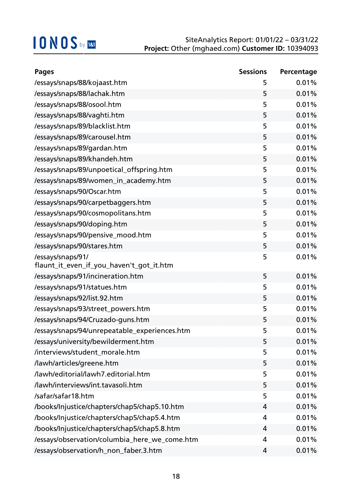| <b>Pages</b>                                  | <b>Sessions</b> | Percentage |
|-----------------------------------------------|-----------------|------------|
| /essays/snaps/88/kojaast.htm                  | 5               | 0.01%      |
| /essays/snaps/88/lachak.htm                   | 5               | 0.01%      |
| /essays/snaps/88/osool.htm                    | 5               | 0.01%      |
| /essays/snaps/88/vaghti.htm                   | 5               | 0.01%      |
| /essays/snaps/89/blacklist.htm                | 5               | 0.01%      |
| /essays/snaps/89/carousel.htm                 | 5               | 0.01%      |
| /essays/snaps/89/gardan.htm                   | 5               | 0.01%      |
| /essays/snaps/89/khandeh.htm                  | 5               | 0.01%      |
| /essays/snaps/89/unpoetical_offspring.htm     | 5               | 0.01%      |
| /essays/snaps/89/women_in_academy.htm         | 5               | 0.01%      |
| /essays/snaps/90/Oscar.htm                    | 5               | 0.01%      |
| /essays/snaps/90/carpetbaggers.htm            | 5               | 0.01%      |
| /essays/snaps/90/cosmopolitans.htm            | 5               | 0.01%      |
| /essays/snaps/90/doping.htm                   | 5               | 0.01%      |
| /essays/snaps/90/pensive_mood.htm             | 5               | 0.01%      |
| /essays/snaps/90/stares.htm                   | 5               | 0.01%      |
| /essays/snaps/91/                             | 5               | 0.01%      |
| flaunt_it_even_if_you_haven't_got_it.htm      |                 |            |
| /essays/snaps/91/incineration.htm             | 5               | 0.01%      |
| /essays/snaps/91/statues.htm                  | 5               | 0.01%      |
| /essays/snaps/92/list.92.htm                  | 5               | 0.01%      |
| /essays/snaps/93/street_powers.htm            | 5               | 0.01%      |
| /essays/snaps/94/Cruzado-guns.htm             | 5               | 0.01%      |
| /essays/snaps/94/unrepeatable_experiences.htm | 5               | 0.01%      |
| /essays/university/bewilderment.htm           | 5               | 0.01%      |
| /interviews/student_morale.htm                | 5               | 0.01%      |
| /lawh/articles/greene.htm                     | 5               | 0.01%      |
| /lawh/editorial/lawh7.editorial.htm           | 5               | 0.01%      |
| /lawh/interviews/int.tavasoli.htm             | 5               | 0.01%      |
| /safar/safar18.htm                            | 5               | 0.01%      |
| /books/Injustice/chapters/chap5/chap5.10.htm  | 4               | 0.01%      |
| /books/Injustice/chapters/chap5/chap5.4.htm   | 4               | 0.01%      |
| /books/Injustice/chapters/chap5/chap5.8.htm   | 4               | 0.01%      |
| /essays/observation/columbia_here_we_come.htm | 4               | 0.01%      |
| /essays/observation/h_non_faber.3.htm         | 4               | 0.01%      |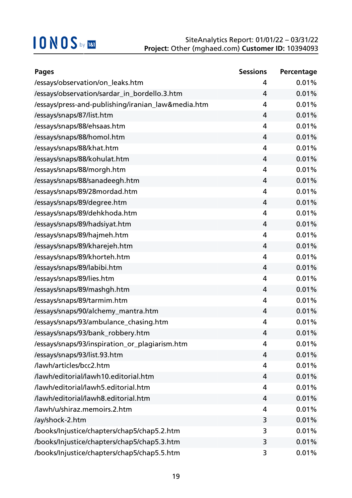| <b>Pages</b>                                       | <b>Sessions</b> | Percentage |
|----------------------------------------------------|-----------------|------------|
| /essays/observation/on_leaks.htm                   | 4               | 0.01%      |
| /essays/observation/sardar_in_bordello.3.htm       | $\overline{4}$  | 0.01%      |
| /essays/press-and-publishing/iranian_law&media.htm | 4               | 0.01%      |
| /essays/snaps/87/list.htm                          | 4               | 0.01%      |
| /essays/snaps/88/ehsaas.htm                        | 4               | 0.01%      |
| /essays/snaps/88/homol.htm                         | 4               | 0.01%      |
| /essays/snaps/88/khat.htm                          | 4               | 0.01%      |
| /essays/snaps/88/kohulat.htm                       | 4               | 0.01%      |
| /essays/snaps/88/morgh.htm                         | $\overline{4}$  | 0.01%      |
| /essays/snaps/88/sanadeegh.htm                     | 4               | 0.01%      |
| /essays/snaps/89/28mordad.htm                      | $\overline{4}$  | 0.01%      |
| /essays/snaps/89/degree.htm                        | 4               | 0.01%      |
| /essays/snaps/89/dehkhoda.htm                      | 4               | 0.01%      |
| /essays/snaps/89/hadsiyat.htm                      | 4               | 0.01%      |
| /essays/snaps/89/hajmeh.htm                        | 4               | 0.01%      |
| /essays/snaps/89/kharejeh.htm                      | 4               | 0.01%      |
| /essays/snaps/89/khorteh.htm                       | 4               | 0.01%      |
| /essays/snaps/89/labibi.htm                        | 4               | 0.01%      |
| /essays/snaps/89/lies.htm                          | 4               | 0.01%      |
| /essays/snaps/89/mashgh.htm                        | 4               | 0.01%      |
| /essays/snaps/89/tarmim.htm                        | 4               | 0.01%      |
| /essays/snaps/90/alchemy_mantra.htm                | 4               | 0.01%      |
| /essays/snaps/93/ambulance_chasing.htm             | 4               | 0.01%      |
| /essays/snaps/93/bank_robbery.htm                  | 4               | 0.01%      |
| /essays/snaps/93/inspiration_or_plagiarism.htm     | 4               | 0.01%      |
| /essays/snaps/93/list.93.htm                       | 4               | 0.01%      |
| /lawh/articles/bcc2.htm                            | 4               | 0.01%      |
| /lawh/editorial/lawh10.editorial.htm               | 4               | 0.01%      |
| /lawh/editorial/lawh5.editorial.htm                | 4               | 0.01%      |
| /lawh/editorial/lawh8.editorial.htm                | 4               | 0.01%      |
| /lawh/u/shiraz.memoirs.2.htm                       | 4               | 0.01%      |
| /ay/shock-2.htm                                    | 3               | 0.01%      |
| /books/Injustice/chapters/chap5/chap5.2.htm        | 3               | 0.01%      |
| /books/Injustice/chapters/chap5/chap5.3.htm        | 3               | 0.01%      |
| /books/Injustice/chapters/chap5/chap5.5.htm        | 3               | 0.01%      |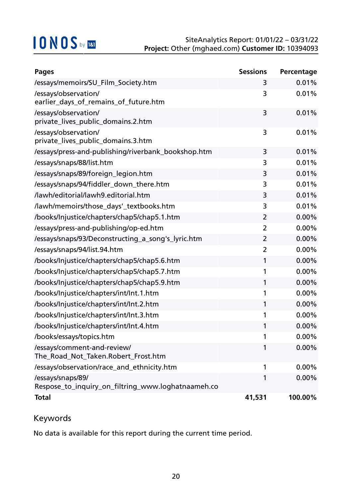| <b>Pages</b>                                                            | <b>Sessions</b> | Percentage |
|-------------------------------------------------------------------------|-----------------|------------|
| /essays/memoirs/SU_Film_Society.htm                                     | 3               | 0.01%      |
| /essays/observation/<br>earlier_days_of_remains_of_future.htm           | 3               | 0.01%      |
| /essays/observation/<br>private_lives_public_domains.2.htm              | 3               | 0.01%      |
| /essays/observation/<br>private_lives_public_domains.3.htm              | 3               | 0.01%      |
| /essays/press-and-publishing/riverbank_bookshop.htm                     | 3               | 0.01%      |
| /essays/snaps/88/list.htm                                               | 3               | 0.01%      |
| /essays/snaps/89/foreign_legion.htm                                     | 3               | 0.01%      |
| /essays/snaps/94/fiddler_down_there.htm                                 | 3               | 0.01%      |
| /lawh/editorial/lawh9.editorial.htm                                     | 3               | 0.01%      |
| /lawh/memoirs/those_days'_textbooks.htm                                 | 3               | 0.01%      |
| /books/Injustice/chapters/chap5/chap5.1.htm                             | $\overline{2}$  | 0.00%      |
| /essays/press-and-publishing/op-ed.htm                                  | $\overline{2}$  | 0.00%      |
| /essays/snaps/93/Deconstructing_a_song's_lyric.htm                      | $\overline{2}$  | 0.00%      |
| /essays/snaps/94/list.94.htm                                            | $\overline{2}$  | 0.00%      |
| /books/Injustice/chapters/chap5/chap5.6.htm                             | 1               | 0.00%      |
| /books/Injustice/chapters/chap5/chap5.7.htm                             | 1               | 0.00%      |
| /books/Injustice/chapters/chap5/chap5.9.htm                             | 1               | 0.00%      |
| /books/Injustice/chapters/int/Int.1.htm                                 | 1               | 0.00%      |
| /books/Injustice/chapters/int/Int.2.htm                                 | 1               | 0.00%      |
| /books/Injustice/chapters/int/Int.3.htm                                 | 1               | 0.00%      |
| /books/Injustice/chapters/int/Int.4.htm                                 | 1               | $0.00\%$   |
| /books/essays/topics.htm                                                | 1               | $0.00\%$   |
| /essays/comment-and-review/<br>The_Road_Not_Taken.Robert_Frost.htm      | 1               | $0.00\%$   |
| /essays/observation/race_and_ethnicity.htm                              | 1               | $0.00\%$   |
| /essays/snaps/89/<br>Respose_to_inquiry_on_filtring_www.loghatnaameh.co | 1               | $0.00\%$   |
| <b>Total</b>                                                            | 41,531          | 100.00%    |

### Keywords

No data is available for this report during the current time period.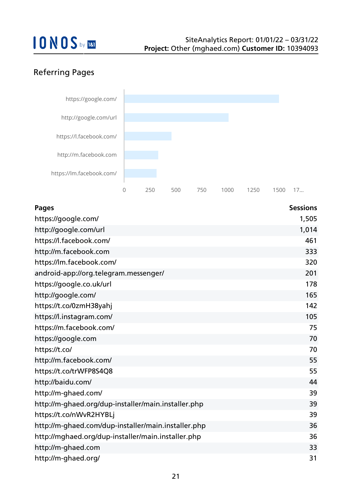### Referring Pages



| <b>Pages</b>                                        | <b>Sessions</b> |
|-----------------------------------------------------|-----------------|
| https://google.com/                                 | 1,505           |
| http://google.com/url                               | 1,014           |
| https://l.facebook.com/                             | 461             |
| http://m.facebook.com                               | 333             |
| https://lm.facebook.com/                            | 320             |
| android-app://org.telegram.messenger/               | 201             |
| https://google.co.uk/url                            | 178             |
| http://google.com/                                  | 165             |
| https://t.co/0zmH38yahj                             | 142             |
| https://l.instagram.com/                            | 105             |
| https://m.facebook.com/                             | 75              |
| https://google.com                                  | 70              |
| https://t.co/                                       | 70              |
| http://m.facebook.com/                              | 55              |
| https://t.co/trWFP8S4Q8                             | 55              |
| http://baidu.com/                                   | 44              |
| http://m-ghaed.com/                                 | 39              |
| http://m-ghaed.org/dup-installer/main.installer.php | 39              |
| https://t.co/nWvR2HYBLj                             | 39              |
| http://m-ghaed.com/dup-installer/main.installer.php | 36              |
| http://mghaed.org/dup-installer/main.installer.php  | 36              |
| http://m-ghaed.com                                  | 33              |
| http://m-ghaed.org/                                 | 31              |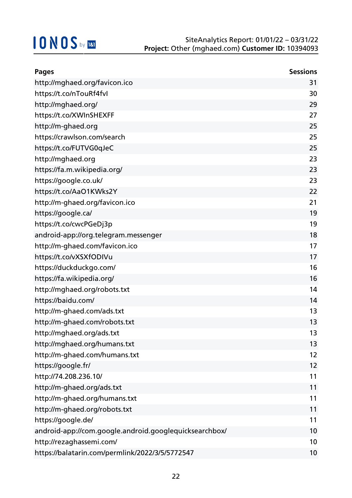| <b>Pages</b>                                           | <b>Sessions</b> |
|--------------------------------------------------------|-----------------|
| http://mghaed.org/favicon.ico                          | 31              |
| https://t.co/nTouRf4fvl                                | 30              |
| http://mghaed.org/                                     | 29              |
| https://t.co/XWInSHEXFF                                | 27              |
| http://m-ghaed.org                                     | 25              |
| https://crawlson.com/search                            | 25              |
| https://t.co/FUTVG0qJeC                                | 25              |
| http://mghaed.org                                      | 23              |
| https://fa.m.wikipedia.org/                            | 23              |
| https://google.co.uk/                                  | 23              |
| https://t.co/AaO1KWks2Y                                | 22              |
| http://m-ghaed.org/favicon.ico                         | 21              |
| https://google.ca/                                     | 19              |
| https://t.co/cwcPGeDj3p                                | 19              |
| android-app://org.telegram.messenger                   | 18              |
| http://m-ghaed.com/favicon.ico                         | 17              |
| https://t.co/vXSXfODIVu                                | 17              |
| https://duckduckgo.com/                                | 16              |
| https://fa.wikipedia.org/                              | 16              |
| http://mghaed.org/robots.txt                           | 14              |
| https://baidu.com/                                     | 14              |
| http://m-ghaed.com/ads.txt                             | 13              |
| http://m-ghaed.com/robots.txt                          | 13              |
| http://mghaed.org/ads.txt                              | 13              |
| http://mghaed.org/humans.txt                           | 13              |
| http://m-ghaed.com/humans.txt                          | 12              |
| https://google.fr/                                     | 12              |
| http://74.208.236.10/                                  | 11              |
| http://m-ghaed.org/ads.txt                             | 11              |
| http://m-ghaed.org/humans.txt                          | 11              |
| http://m-ghaed.org/robots.txt                          | 11              |
| https://google.de/                                     | 11              |
| android-app://com.google.android.googlequicksearchbox/ | 10              |
| http://rezaghassemi.com/                               | 10              |
| https://balatarin.com/permlink/2022/3/5/5772547        | 10              |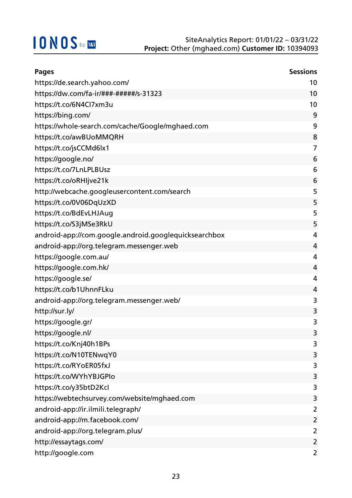| <b>Pages</b>                                          | <b>Sessions</b> |
|-------------------------------------------------------|-----------------|
| https://de.search.yahoo.com/                          | 10              |
| https://dw.com/fa-ir/###-#####/s-31323                | 10              |
| https://t.co/6N4Cl7xm3u                               | 10              |
| https://bing.com/                                     | 9               |
| https://whole-search.com/cache/Google/mghaed.com      | 9               |
| https://t.co/awBUoMMQRH                               | 8               |
| https://t.co/jsCCMd6lx1                               | 7               |
| https://google.no/                                    | 6               |
| https://t.co/7LnLPLBUsz                               | 6               |
| https://t.co/oRHIjve21k                               | 6               |
| http://webcache.googleusercontent.com/search          | 5               |
| https://t.co/0V06DqUzXD                               | 5               |
| https://t.co/BdEvLHJAug                               | 5               |
| https://t.co/S3jMSe3RkU                               | 5               |
| android-app://com.google.android.googlequicksearchbox | $\overline{4}$  |
| android-app://org.telegram.messenger.web              | 4               |
| https://google.com.au/                                | $\overline{4}$  |
| https://google.com.hk/                                | 4               |
| https://google.se/                                    | 4               |
| https://t.co/b1UhnnFLku                               | 4               |
| android-app://org.telegram.messenger.web/             | 3               |
| http://sur.ly/                                        | 3               |
| https://google.gr/                                    | 3               |
| https://google.nl/                                    | 3               |
| https://t.co/Knj40h1BPs                               | 3               |
| https://t.co/N10TENwqY0                               | 3               |
| https://t.co/RYoER05fxJ                               | 3               |
| https://t.co/WYhYBJGPIo                               | 3               |
| https://t.co/y35btD2Kcl                               | 3               |
| https://webtechsurvey.com/website/mghaed.com          | 3               |
| android-app://ir.ilmili.telegraph/                    | 2               |
| android-app://m.facebook.com/                         | 2               |
| android-app://org.telegram.plus/                      | 2               |
| http://essaytags.com/                                 | $\overline{2}$  |
| http://google.com                                     | 2               |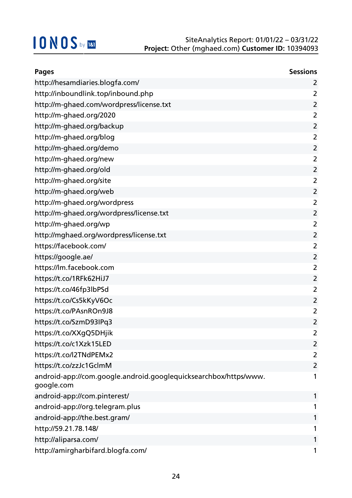| <b>Pages</b>                                                                   | <b>Sessions</b> |
|--------------------------------------------------------------------------------|-----------------|
| http://hesamdiaries.blogfa.com/                                                | 2               |
| http://inboundlink.top/inbound.php                                             | 2               |
| http://m-ghaed.com/wordpress/license.txt                                       | $\overline{2}$  |
| http://m-ghaed.org/2020                                                        | $\overline{2}$  |
| http://m-ghaed.org/backup                                                      | 2               |
| http://m-ghaed.org/blog                                                        | $\overline{2}$  |
| http://m-ghaed.org/demo                                                        | $\overline{2}$  |
| http://m-ghaed.org/new                                                         | $\overline{2}$  |
| http://m-ghaed.org/old                                                         | $\overline{2}$  |
| http://m-ghaed.org/site                                                        | $\overline{2}$  |
| http://m-ghaed.org/web                                                         | $\overline{2}$  |
| http://m-ghaed.org/wordpress                                                   | 2               |
| http://m-ghaed.org/wordpress/license.txt                                       | $\overline{2}$  |
| http://m-ghaed.org/wp                                                          | $\overline{2}$  |
| http://mghaed.org/wordpress/license.txt                                        | $\overline{2}$  |
| https://facebook.com/                                                          | $\overline{2}$  |
| https://google.ae/                                                             | $\overline{2}$  |
| https://lm.facebook.com                                                        | $\overline{2}$  |
| https://t.co/1RFk62HiJ7                                                        | $\overline{2}$  |
| https://t.co/46fp3lbPSd                                                        | 2               |
| https://t.co/Cs5kKyV6Oc                                                        | $\overline{2}$  |
| https://t.co/PAsnROn9J8                                                        | $\overline{2}$  |
| https://t.co/SzmD93IPq3                                                        | $\overline{2}$  |
| https://t.co/XXgQ5DHjik                                                        | $\overline{2}$  |
| https://t.co/c1Xzk15LED                                                        | 2               |
| https://t.co/l2TNdPEMx2                                                        | 2               |
| https://t.co/zzJc1GclmM                                                        | $\overline{2}$  |
| android-app://com.google.android.googlequicksearchbox/https/www.<br>google.com | 1               |
| android-app://com.pinterest/                                                   | 1               |
| android-app://org.telegram.plus                                                | 1               |
| android-app://the.best.gram/                                                   | 1               |
| http://59.21.78.148/                                                           | 1               |
| http://aliparsa.com/                                                           | 1               |
| http://amirgharbifard.blogfa.com/                                              | 1               |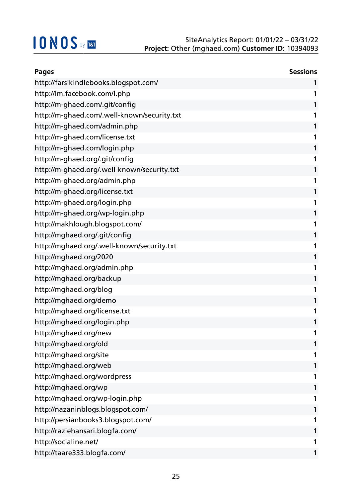| <b>Pages</b>                                | <b>Sessions</b> |
|---------------------------------------------|-----------------|
| http://farsikindlebooks.blogspot.com/       | 1               |
| http://lm.facebook.com/l.php                | 1               |
| http://m-ghaed.com/.git/config              | 1               |
| http://m-ghaed.com/.well-known/security.txt | 1               |
| http://m-ghaed.com/admin.php                | 1               |
| http://m-ghaed.com/license.txt              | 1               |
| http://m-ghaed.com/login.php                | 1               |
| http://m-ghaed.org/.git/config              | 1               |
| http://m-ghaed.org/.well-known/security.txt | 1               |
| http://m-ghaed.org/admin.php                | 1               |
| http://m-ghaed.org/license.txt              | 1               |
| http://m-ghaed.org/login.php                | 1               |
| http://m-ghaed.org/wp-login.php             | 1               |
| http://makhlough.blogspot.com/              | 1               |
| http://mghaed.org/.git/config               | 1               |
| http://mghaed.org/.well-known/security.txt  | 1               |
| http://mghaed.org/2020                      | 1               |
| http://mghaed.org/admin.php                 | 1               |
| http://mghaed.org/backup                    | 1               |
| http://mghaed.org/blog                      | 1               |
| http://mghaed.org/demo                      | 1               |
| http://mghaed.org/license.txt               | 1               |
| http://mghaed.org/login.php                 | 1               |
| http://mghaed.org/new                       | 1               |
| http://mghaed.org/old                       | 1               |
| http://mghaed.org/site                      |                 |
| http://mghaed.org/web                       | 1               |
| http://mghaed.org/wordpress                 | 1               |
| http://mghaed.org/wp                        | 1               |
| http://mghaed.org/wp-login.php              | 1               |
| http://nazaninblogs.blogspot.com/           | 1               |
| http://persianbooks3.blogspot.com/          | 1               |
| http://raziehansari.blogfa.com/             | 1               |
| http://socialine.net/                       |                 |
| http://taare333.blogfa.com/                 | 1               |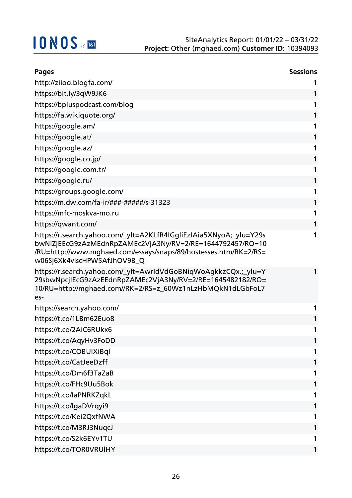| <b>Pages</b>                                                                                                                                                                                                                        | <b>Sessions</b> |
|-------------------------------------------------------------------------------------------------------------------------------------------------------------------------------------------------------------------------------------|-----------------|
| http://ziloo.blogfa.com/                                                                                                                                                                                                            | 1               |
| https://bit.ly/3qW9JK6                                                                                                                                                                                                              | 1               |
| https://bpluspodcast.com/blog                                                                                                                                                                                                       | 1               |
| https://fa.wikiquote.org/                                                                                                                                                                                                           | 1               |
| https://google.am/                                                                                                                                                                                                                  | 1               |
| https://google.at/                                                                                                                                                                                                                  | 1               |
| https://google.az/                                                                                                                                                                                                                  | 1               |
| https://google.co.jp/                                                                                                                                                                                                               | 1               |
| https://google.com.tr/                                                                                                                                                                                                              | 1               |
| https://google.ru/                                                                                                                                                                                                                  | 1               |
| https://groups.google.com/                                                                                                                                                                                                          | 1               |
| https://m.dw.com/fa-ir/###-######/s-31323                                                                                                                                                                                           | 1               |
| https://mfc-moskva-mo.ru                                                                                                                                                                                                            | 1               |
| https://qwant.com/                                                                                                                                                                                                                  | 1               |
| https://r.search.yahoo.com/_ylt=A2KLfR4IGgliEzIAia5XNyoA;_ylu=Y29s<br>bwNiZjEEcG9zAzMEdnRpZAMEc2VjA3Ny/RV=2/RE=1644792457/RO=10<br>/RU=http://www.mghaed.com/essays/snaps/89/hostesses.htm/RK=2/RS=<br>w06Sj6Xk4vlscHPW5AfJhOV9B_Q- | 1               |
| https://r.search.yahoo.com/_ylt=AwrldVdGoBNiqWoAgkkzCQx.;_ylu=Y<br>29sbwNpcjIEcG9zAzEEdnRpZAMEc2VjA3Ny/RV=2/RE=1645482182/RO=<br>10/RU=http://mghaed.com//RK=2/RS=z_60Wz1nLzHbMQkN1dLGbFoL7<br>es-                                  | 1               |
| https://search.yahoo.com/                                                                                                                                                                                                           | 1               |
| https://t.co/1LBm62Euo8                                                                                                                                                                                                             | 1               |
| https://t.co/2AiC6RUkx6                                                                                                                                                                                                             |                 |
| https://t.co/AqyHv3FoDD                                                                                                                                                                                                             | 1               |
| https://t.co/COBUIXiBql                                                                                                                                                                                                             | 1               |
| https://t.co/CatJeeDzff                                                                                                                                                                                                             | 1               |
| https://t.co/Dm6f3TaZaB                                                                                                                                                                                                             | 1               |
| https://t.co/FHc9Uu5Bok                                                                                                                                                                                                             | 1               |
| https://t.co/laPNRKZqkL                                                                                                                                                                                                             | 1               |
| https://t.co/lgaDVrqyi9                                                                                                                                                                                                             | 1               |
| https://t.co/Kei2QxfNWA                                                                                                                                                                                                             | 1               |
| https://t.co/M3RJ3NuqcJ                                                                                                                                                                                                             | 1               |
| https://t.co/S2k6EYv1TU                                                                                                                                                                                                             |                 |
| https://t.co/TOR0VRUIHY                                                                                                                                                                                                             | 1               |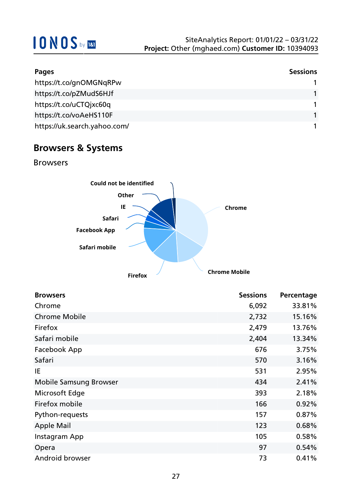| Pages                        | <b>Sessions</b> |
|------------------------------|-----------------|
| https://t.co/gnOMGNqRPw      |                 |
| https://t.co/pZMudS6HJf      |                 |
| https://t.co/uCTQjxc60q      |                 |
| https://t.co/voAeHS110F      |                 |
| https://uk.search.yahoo.com/ |                 |

### **Browsers & Systems**

Browsers



| <b>Browsers</b>               | <b>Sessions</b> | Percentage |
|-------------------------------|-----------------|------------|
| Chrome                        | 6,092           | 33.81%     |
| <b>Chrome Mobile</b>          | 2,732           | 15.16%     |
| Firefox                       | 2,479           | 13.76%     |
| Safari mobile                 | 2,404           | 13.34%     |
| Facebook App                  | 676             | 3.75%      |
| Safari                        | 570             | 3.16%      |
| IE                            | 531             | 2.95%      |
| <b>Mobile Samsung Browser</b> | 434             | 2.41%      |
| Microsoft Edge                | 393             | 2.18%      |
| Firefox mobile                | 166             | 0.92%      |
| Python-requests               | 157             | 0.87%      |
| <b>Apple Mail</b>             | 123             | 0.68%      |
| Instagram App                 | 105             | 0.58%      |
| Opera                         | 97              | 0.54%      |
| Android browser               | 73              | 0.41%      |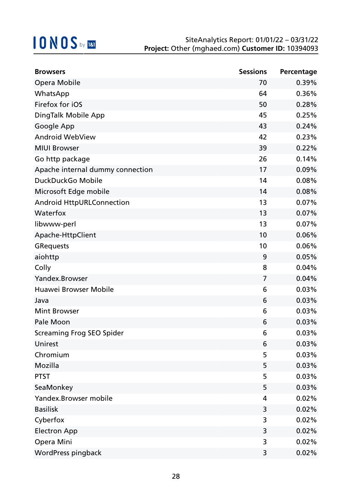| <b>Browsers</b>                  | <b>Sessions</b> | Percentage |
|----------------------------------|-----------------|------------|
| Opera Mobile                     | 70              | 0.39%      |
| WhatsApp                         | 64              | 0.36%      |
| Firefox for iOS                  | 50              | 0.28%      |
| DingTalk Mobile App              | 45              | 0.25%      |
| Google App                       | 43              | 0.24%      |
| <b>Android WebView</b>           | 42              | 0.23%      |
| <b>MIUI Browser</b>              | 39              | 0.22%      |
| Go http package                  | 26              | 0.14%      |
| Apache internal dummy connection | 17              | 0.09%      |
| DuckDuckGo Mobile                | 14              | 0.08%      |
| Microsoft Edge mobile            | 14              | 0.08%      |
| Android HttpURLConnection        | 13              | 0.07%      |
| Waterfox                         | 13              | 0.07%      |
| libwww-perl                      | 13              | 0.07%      |
| Apache-HttpClient                | 10              | 0.06%      |
| <b>GRequests</b>                 | 10              | 0.06%      |
| aiohttp                          | 9               | 0.05%      |
| Colly                            | 8               | 0.04%      |
| Yandex.Browser                   | 7               | 0.04%      |
| Huawei Browser Mobile            | 6               | 0.03%      |
| Java                             | 6               | 0.03%      |
| <b>Mint Browser</b>              | 6               | 0.03%      |
| Pale Moon                        | 6               | 0.03%      |
| <b>Screaming Frog SEO Spider</b> | 6               | 0.03%      |
| Unirest                          | 6               | 0.03%      |
| Chromium                         | 5               | 0.03%      |
| Mozilla                          | 5               | 0.03%      |
| <b>PTST</b>                      | 5               | 0.03%      |
| SeaMonkey                        | 5               | 0.03%      |
| Yandex.Browser mobile            | 4               | 0.02%      |
| <b>Basilisk</b>                  | 3               | 0.02%      |
| Cyberfox                         | 3               | 0.02%      |
| <b>Electron App</b>              | 3               | 0.02%      |
| Opera Mini                       | 3               | 0.02%      |
| WordPress pingback               | 3               | 0.02%      |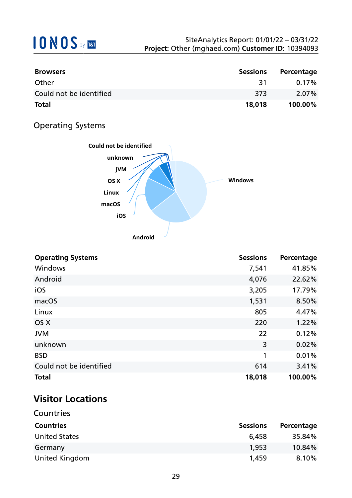| <b>Browsers</b>         | <b>Sessions</b> | Percentage |
|-------------------------|-----------------|------------|
| Other                   | 31              | $0.17\%$   |
| Could not be identified | -373            | $2.07\%$   |
| <b>Total</b>            | 18,018          | $100.00\%$ |

### Operating Systems



| <b>Operating Systems</b> | <b>Sessions</b> | Percentage |
|--------------------------|-----------------|------------|
| Windows                  | 7,541           | 41.85%     |
| Android                  | 4,076           | 22.62%     |
| iOS                      | 3,205           | 17.79%     |
| macOS                    | 1,531           | 8.50%      |
| Linux                    | 805             | 4.47%      |
| OS X                     | 220             | 1.22%      |
| <b>JVM</b>               | 22              | 0.12%      |
| unknown                  | 3               | 0.02%      |
| <b>BSD</b>               | 1               | 0.01%      |
| Could not be identified  | 614             | 3.41%      |
| <b>Total</b>             | 18,018          | 100.00%    |

### **Visitor Locations**

| <b>Sessions</b> | Percentage |
|-----------------|------------|
| 6,458           | 35.84%     |
| 1,953           | 10.84%     |
| 1,459           | 8.10%      |
|                 |            |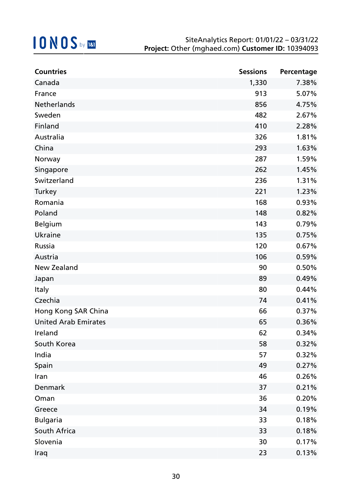| <b>Countries</b>            | <b>Sessions</b> | Percentage |
|-----------------------------|-----------------|------------|
| Canada                      | 1,330           | 7.38%      |
| France                      | 913             | 5.07%      |
| Netherlands                 | 856             | 4.75%      |
| Sweden                      | 482             | 2.67%      |
| Finland                     | 410             | 2.28%      |
| Australia                   | 326             | 1.81%      |
| China                       | 293             | 1.63%      |
| Norway                      | 287             | 1.59%      |
| Singapore                   | 262             | 1.45%      |
| Switzerland                 | 236             | 1.31%      |
| <b>Turkey</b>               | 221             | 1.23%      |
| Romania                     | 168             | 0.93%      |
| Poland                      | 148             | 0.82%      |
| <b>Belgium</b>              | 143             | 0.79%      |
| Ukraine                     | 135             | 0.75%      |
| Russia                      | 120             | 0.67%      |
| Austria                     | 106             | 0.59%      |
| New Zealand                 | 90              | 0.50%      |
| Japan                       | 89              | 0.49%      |
| <b>Italy</b>                | 80              | 0.44%      |
| Czechia                     | 74              | 0.41%      |
| Hong Kong SAR China         | 66              | 0.37%      |
| <b>United Arab Emirates</b> | 65              | 0.36%      |
| Ireland                     | 62              | 0.34%      |
| South Korea                 | 58              | 0.32%      |
| India                       | 57              | 0.32%      |
| Spain                       | 49              | 0.27%      |
| Iran                        | 46              | 0.26%      |
| <b>Denmark</b>              | 37              | 0.21%      |
| Oman                        | 36              | 0.20%      |
| Greece                      | 34              | 0.19%      |
| <b>Bulgaria</b>             | 33              | 0.18%      |
| South Africa                | 33              | 0.18%      |
| Slovenia                    | 30              | 0.17%      |
| Iraq                        | 23              | 0.13%      |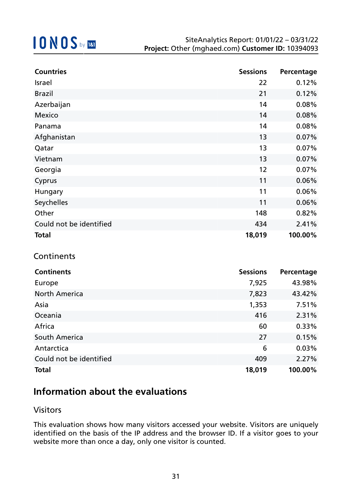| <b>Countries</b>        | <b>Sessions</b> | Percentage |
|-------------------------|-----------------|------------|
| Israel                  | 22              | 0.12%      |
| <b>Brazil</b>           | 21              | 0.12%      |
| Azerbaijan              | 14              | 0.08%      |
| Mexico                  | 14              | 0.08%      |
| Panama                  | 14              | 0.08%      |
| Afghanistan             | 13              | 0.07%      |
| Qatar                   | 13              | 0.07%      |
| Vietnam                 | 13              | 0.07%      |
| Georgia                 | 12              | 0.07%      |
| Cyprus                  | 11              | 0.06%      |
| Hungary                 | 11              | 0.06%      |
| Seychelles              | 11              | 0.06%      |
| Other                   | 148             | 0.82%      |
| Could not be identified | 434             | 2.41%      |
| <b>Total</b>            | 18,019          | 100.00%    |

### **Continents**

| <b>Continents</b>       | <b>Sessions</b> | Percentage |
|-------------------------|-----------------|------------|
| Europe                  | 7,925           | 43.98%     |
| <b>North America</b>    | 7,823           | 43.42%     |
| Asia                    | 1,353           | 7.51%      |
| Oceania                 | 416             | 2.31%      |
| Africa                  | 60              | 0.33%      |
| South America           | 27              | 0.15%      |
| Antarctica              | 6               | 0.03%      |
| Could not be identified | 409             | 2.27%      |
| <b>Total</b>            | 18,019          | 100.00%    |

### **Information about the evaluations**

### Visitors

This evaluation shows how many visitors accessed your website. Visitors are uniquely identified on the basis of the IP address and the browser ID. If a visitor goes to your website more than once a day, only one visitor is counted.